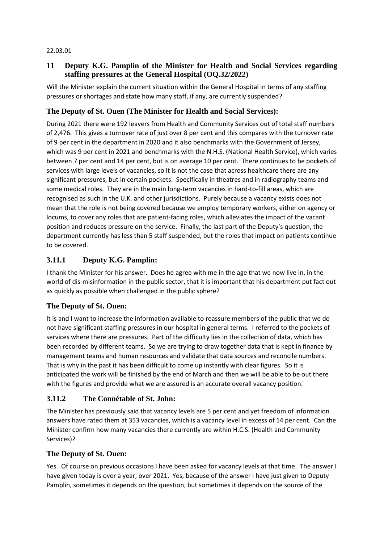#### 22.03.01

### **11 Deputy K.G. Pamplin of the Minister for Health and Social Services regarding staffing pressures at the General Hospital (OQ.32/2022)**

Will the Minister explain the current situation within the General Hospital in terms of any staffing pressures or shortages and state how many staff, if any, are currently suspended?

### **The Deputy of St. Ouen (The Minister for Health and Social Services):**

During 2021 there were 192 leavers from Health and Community Services out of total staff numbers of 2,476. This gives a turnover rate of just over 8 per cent and this compares with the turnover rate of 9 per cent in the department in 2020 and it also benchmarks with the Government of Jersey, which was 9 per cent in 2021 and benchmarks with the N.H.S. (National Health Service), which varies between 7 per cent and 14 per cent, but is on average 10 per cent. There continues to be pockets of services with large levels of vacancies, so it is not the case that across healthcare there are any significant pressures, but in certain pockets. Specifically in theatres and in radiography teams and some medical roles. They are in the main long-term vacancies in hard-to-fill areas, which are recognised as such in the U.K. and other jurisdictions. Purely because a vacancy exists does not mean that the role is not being covered because we employ temporary workers, either on agency or locums, to cover any roles that are patient-facing roles, which alleviates the impact of the vacant position and reduces pressure on the service. Finally, the last part of the Deputy's question, the department currently has less than 5 staff suspended, but the roles that impact on patients continue to be covered.

### **3.11.1 Deputy K.G. Pamplin:**

I thank the Minister for his answer. Does he agree with me in the age that we now live in, in the world of dis-misinformation in the public sector, that it is important that his department put fact out as quickly as possible when challenged in the public sphere?

### **The Deputy of St. Ouen:**

It is and I want to increase the information available to reassure members of the public that we do not have significant staffing pressures in our hospital in general terms. I referred to the pockets of services where there are pressures. Part of the difficulty lies in the collection of data, which has been recorded by different teams. So we are trying to draw together data that is kept in finance by management teams and human resources and validate that data sources and reconcile numbers. That is why in the past it has been difficult to come up instantly with clear figures. So it is anticipated the work will be finished by the end of March and then we will be able to be out there with the figures and provide what we are assured is an accurate overall vacancy position.

### **3.11.2 The Connétable of St. John:**

The Minister has previously said that vacancy levels are 5 per cent and yet freedom of information answers have rated them at 353 vacancies, which is a vacancy level in excess of 14 per cent. Can the Minister confirm how many vacancies there currently are within H.C.S. (Health and Community Services)?

### **The Deputy of St. Ouen:**

Yes. Of course on previous occasions I have been asked for vacancy levels at that time. The answer I have given today is over a year, over 2021. Yes, because of the answer I have just given to Deputy Pamplin, sometimes it depends on the question, but sometimes it depends on the source of the